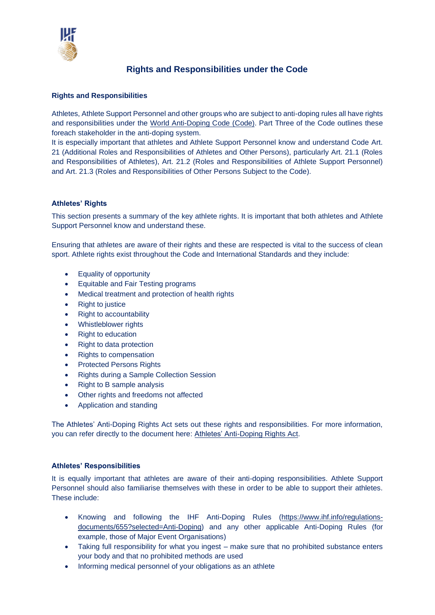

# **Rights and Responsibilities under the Code**

### **Rights and Responsibilities**

Athletes, Athlete Support Personnel and other groups who are subject to anti-doping rules all have rights and responsibilities under the [World Anti-Doping Code](https://www.wada-ama.org/en/resources/world-anti-doping-program/world-anti-doping-code) (Code). Part Three of the Code outlines these foreach stakeholder in the anti-doping system.

It is especially important that athletes and Athlete Support Personnel know and understand Code Art. 21 (Additional Roles and Responsibilities of Athletes and Other Persons), particularly Art. 21.1 (Roles and Responsibilities of Athletes), Art. 21.2 (Roles and Responsibilities of Athlete Support Personnel) and Art. 21.3 (Roles and Responsibilities of Other Persons Subject to the Code).

## **Athletes' Rights**

This section presents a summary of the key athlete rights. It is important that both athletes and Athlete Support Personnel know and understand these.

Ensuring that athletes are aware of their rights and these are respected is vital to the success of clean sport. Athlete rights exist throughout the Code and International Standards and they include:

- Equality of opportunity
- Equitable and Fair Testing programs
- Medical treatment and protection of health rights
- Right to justice
- Right to accountability
- Whistleblower rights
- Right to education
- Right to data protection
- Rights to compensation
- Protected Persons Rights
- Rights during a Sample Collection Session
- Right to B sample analysis
- Other rights and freedoms not affected
- Application and standing

The Athletes' Anti-Doping Rights Act sets out these rights and responsibilities. For more information, you can refer directly to the document here: [Athletes' Anti-Doping Rights Act.](https://www.wada-ama.org/en/resources/athletes-anti-doping-rights-act#resource-download)

### **Athletes' Responsibilities**

It is equally important that athletes are aware of their anti-doping responsibilities. Athlete Support Personnel should also familiarise themselves with these in order to be able to support their athletes. These include:

- Knowing and following the IHF Anti-Doping Rules [\(https://www.ihf.info/regulations](https://www.ihf.info/regulations-documents/655?selected=Anti-Doping)[documents/655?selected=Anti-Doping\)](https://www.ihf.info/regulations-documents/655?selected=Anti-Doping) and any other applicable Anti-Doping Rules (for example, those of Major Event Organisations)
- Taking full responsibility for what you ingest make sure that no prohibited substance enters your body and that no prohibited methods are used
- Informing medical personnel of your obligations as an athlete